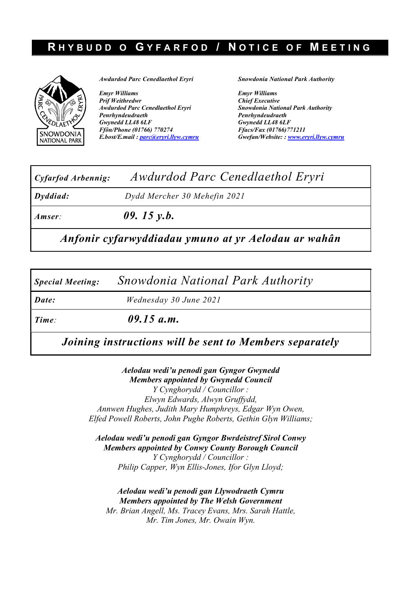## RHYBUDD O GYFARFOD / NOTICE OF MEETING



Awdurdod Parc Cenedlaethol Eryri

Emyr Williams Prif Weithredwr Awdurdod Parc Cenedlaethol Eryri Penrhyndeudraeth Gwynedd LL48 6LF Ffôn/Phone (01766) 770274 E.bost/E.mail : parc@eryri.llyw.cymru Snowdonia National Park Authority

Emyr Williams Chief Executive Snowdonia National Park Authority Penrhyndeudraeth Gwynedd LL48 6LF Ffacs/Fax (01766)771211 Gwefan/Website: : www.eryri.llyw.cymru

| Cyfarfod Arbennig: | Awdurdod Parc Cenedlaethol Eryri                    |  |  |  |  |  |  |
|--------------------|-----------------------------------------------------|--|--|--|--|--|--|
| Dyddiad:           | Dydd Mercher 30 Mehefin 2021                        |  |  |  |  |  |  |
| Amser:             | 09. 15 $v.b.$                                       |  |  |  |  |  |  |
|                    | Anfonir cyfarwyddiadau ymuno at yr Aelodau ar wahân |  |  |  |  |  |  |

Special Meeting: Snowdonia National Park Authority

Date: Wednesday 30 June 2021

Time: 09.15 a.m.

Joining instructions will be sent to Members separately

Aelodau wedi'u penodi gan Gyngor Gwynedd Members appointed by Gwynedd Council Y Cynghorydd / Councillor : Elwyn Edwards, Alwyn Gruffydd, Annwen Hughes, Judith Mary Humphreys, Edgar Wyn Owen, Elfed Powell Roberts, John Pughe Roberts, Gethin Glyn Williams;

Aelodau wedi'u penodi gan Gyngor Bwrdeistref Sirol Conwy Members appointed by Conwy County Borough Council Y Cynghorydd / Councillor : Philip Capper, Wyn Ellis-Jones, Ifor Glyn Lloyd;

Aelodau wedi'u penodi gan Llywodraeth Cymru Members appointed by The Welsh Government Mr. Brian Angell, Ms. Tracey Evans, Mrs. Sarah Hattle, Mr. Tim Jones, Mr. Owain Wyn.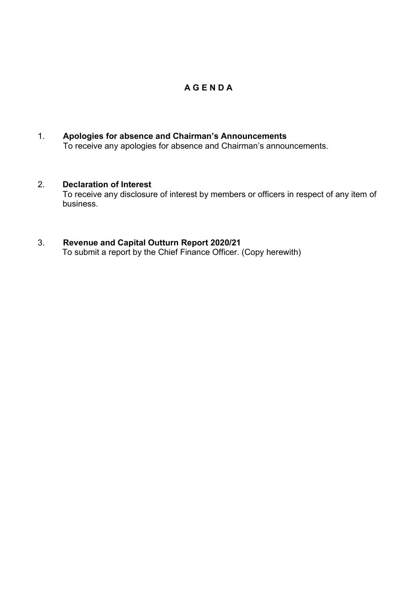## A G E N D A

1. Apologies for absence and Chairman's Announcements To receive any apologies for absence and Chairman's announcements.

## 2. Declaration of Interest

 To receive any disclosure of interest by members or officers in respect of any item of business.

## 3. Revenue and Capital Outturn Report 2020/21

To submit a report by the Chief Finance Officer. (Copy herewith)